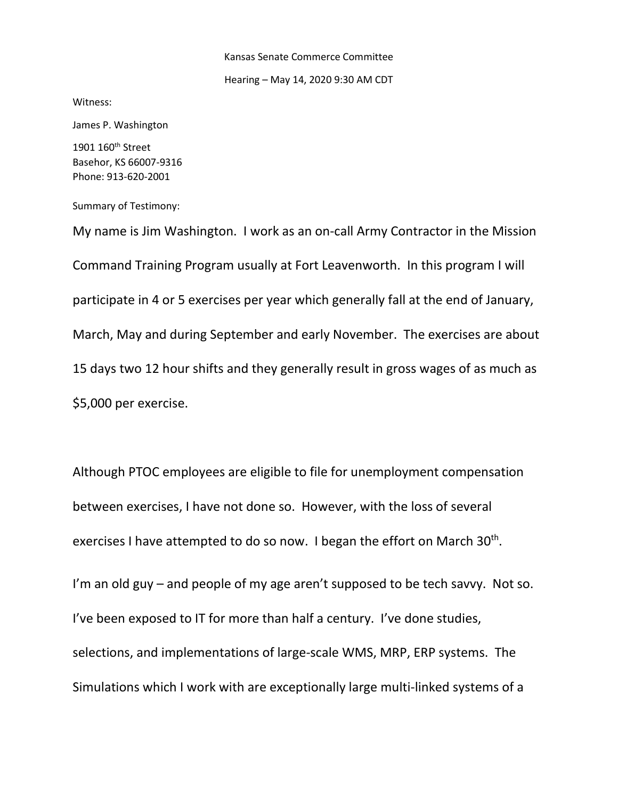## Kansas Senate Commerce Committee

#### Hearing – May 14, 2020 9:30 AM CDT

Witness:

James P. Washington

1901 160<sup>th</sup> Street Basehor, KS 66007-9316 Phone: 913-620-2001

Summary of Testimony:

My name is Jim Washington. I work as an on-call Army Contractor in the Mission Command Training Program usually at Fort Leavenworth. In this program I will participate in 4 or 5 exercises per year which generally fall at the end of January, March, May and during September and early November. The exercises are about 15 days two 12 hour shifts and they generally result in gross wages of as much as \$5,000 per exercise.

Although PTOC employees are eligible to file for unemployment compensation between exercises, I have not done so. However, with the loss of several exercises I have attempted to do so now. I began the effort on March 30<sup>th</sup>.

I'm an old guy – and people of my age aren't supposed to be tech savvy. Not so. I've been exposed to IT for more than half a century. I've done studies, selections, and implementations of large-scale WMS, MRP, ERP systems. The Simulations which I work with are exceptionally large multi-linked systems of a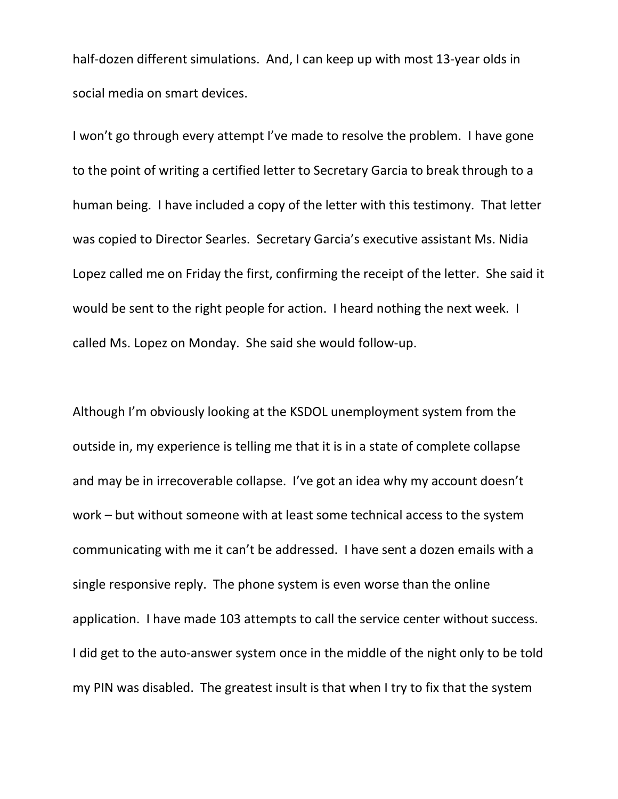half-dozen different simulations. And, I can keep up with most 13-year olds in social media on smart devices.

I won't go through every attempt I've made to resolve the problem. I have gone to the point of writing a certified letter to Secretary Garcia to break through to a human being. I have included a copy of the letter with this testimony. That letter was copied to Director Searles. Secretary Garcia's executive assistant Ms. Nidia Lopez called me on Friday the first, confirming the receipt of the letter. She said it would be sent to the right people for action. I heard nothing the next week. I called Ms. Lopez on Monday. She said she would follow-up.

Although I'm obviously looking at the KSDOL unemployment system from the outside in, my experience is telling me that it is in a state of complete collapse and may be in irrecoverable collapse. I've got an idea why my account doesn't work – but without someone with at least some technical access to the system communicating with me it can't be addressed. I have sent a dozen emails with a single responsive reply. The phone system is even worse than the online application. I have made 103 attempts to call the service center without success. I did get to the auto-answer system once in the middle of the night only to be told my PIN was disabled. The greatest insult is that when I try to fix that the system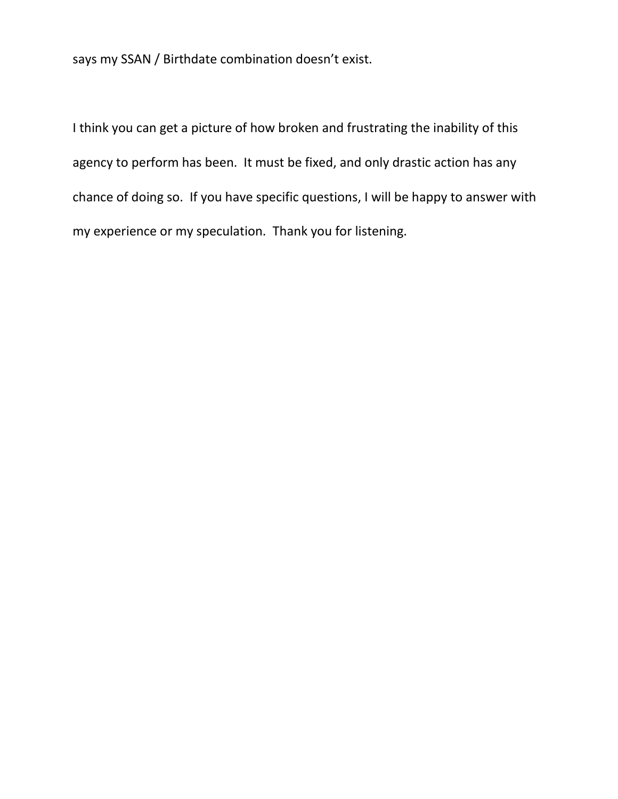says my SSAN / Birthdate combination doesn't exist.

I think you can get a picture of how broken and frustrating the inability of this agency to perform has been. It must be fixed, and only drastic action has any chance of doing so. If you have specific questions, I will be happy to answer with my experience or my speculation. Thank you for listening.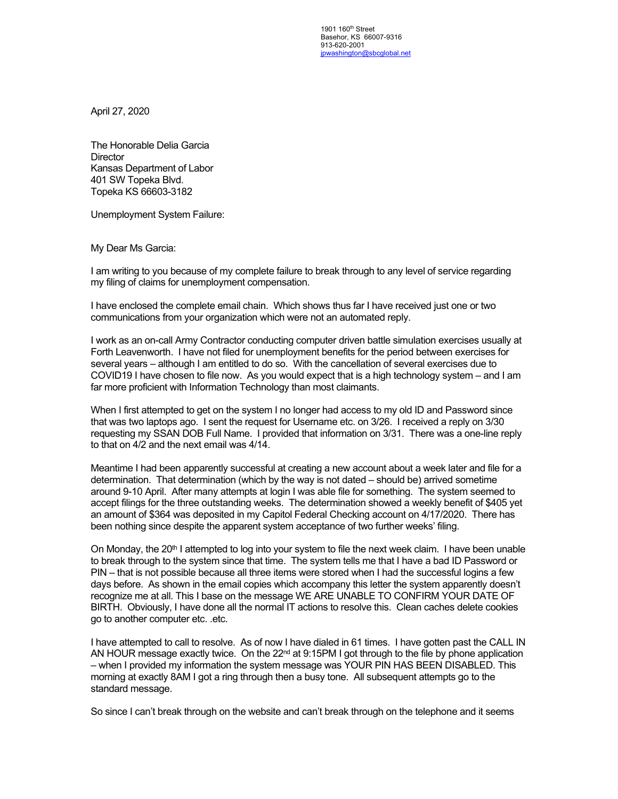1901 160<sup>th</sup> Street Basehor, KS 66007-9316 913-620-2001 [jpwashington@sbcglobal.net](mailto:jpwashington@sbcglobal.net)

April 27, 2020

The Honorable Delia Garcia **Director** Kansas Department of Labor 401 SW Topeka Blvd. Topeka KS 66603-3182

Unemployment System Failure:

My Dear Ms Garcia:

I am writing to you because of my complete failure to break through to any level of service regarding my filing of claims for unemployment compensation.

I have enclosed the complete email chain. Which shows thus far I have received just one or two communications from your organization which were not an automated reply.

I work as an on-call Army Contractor conducting computer driven battle simulation exercises usually at Forth Leavenworth. I have not filed for unemployment benefits for the period between exercises for several years – although I am entitled to do so. With the cancellation of several exercises due to COVID19 I have chosen to file now. As you would expect that is a high technology system – and I am far more proficient with Information Technology than most claimants.

When I first attempted to get on the system I no longer had access to my old ID and Password since that was two laptops ago. I sent the request for Username etc. on 3/26. I received a reply on 3/30 requesting my SSAN DOB Full Name. I provided that information on 3/31. There was a one-line reply to that on 4/2 and the next email was 4/14.

Meantime I had been apparently successful at creating a new account about a week later and file for a determination. That determination (which by the way is not dated – should be) arrived sometime around 9-10 April. After many attempts at login I was able file for something. The system seemed to accept filings for the three outstanding weeks. The determination showed a weekly benefit of \$405 yet an amount of \$364 was deposited in my Capitol Federal Checking account on 4/17/2020. There has been nothing since despite the apparent system acceptance of two further weeks' filing.

On Monday, the 20<sup>th</sup> I attempted to log into your system to file the next week claim. I have been unable to break through to the system since that time. The system tells me that I have a bad ID Password or PIN – that is not possible because all three items were stored when I had the successful logins a few days before. As shown in the email copies which accompany this letter the system apparently doesn't recognize me at all. This I base on the message WE ARE UNABLE TO CONFIRM YOUR DATE OF BIRTH. Obviously, I have done all the normal IT actions to resolve this. Clean caches delete cookies go to another computer etc. .etc.

I have attempted to call to resolve. As of now I have dialed in 61 times. I have gotten past the CALL IN AN HOUR message exactly twice. On the  $22<sup>nd</sup>$  at 9:15PM I got through to the file by phone application – when I provided my information the system message was YOUR PIN HAS BEEN DISABLED. This morning at exactly 8AM I got a ring through then a busy tone. All subsequent attempts go to the standard message.

So since I can't break through on the website and can't break through on the telephone and it seems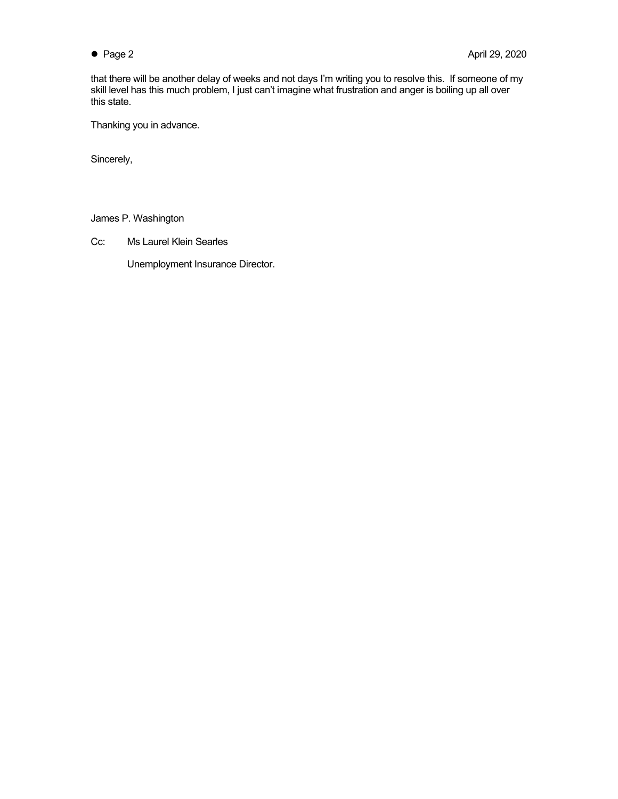that there will be another delay of weeks and not days I'm writing you to resolve this. If someone of my skill level has this much problem, I just can't imagine what frustration and anger is boiling up all over this state.

Thanking you in advance.

Sincerely,

James P. Washington

Cc: Ms Laurel Klein Searles

Unemployment Insurance Director.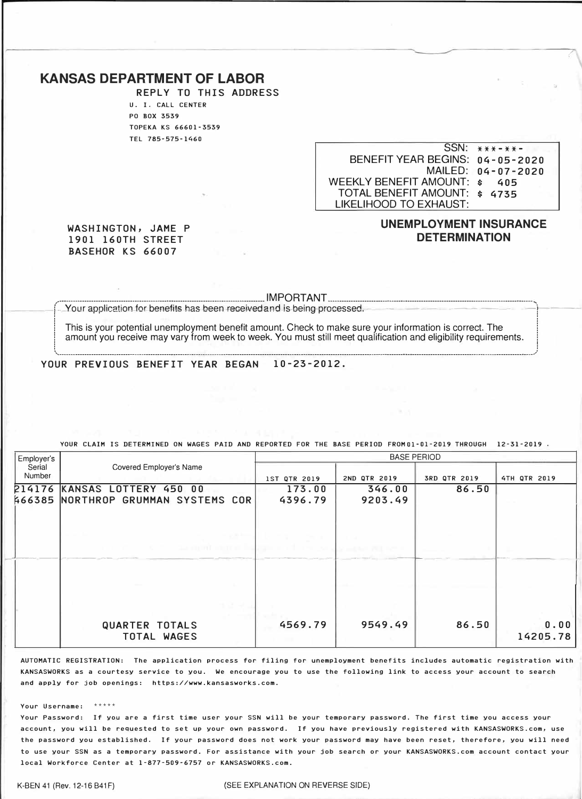## **KANSAS DEPARTMENT OF LABOR**

**REPLY** TO THIS **ADDRESS**  U. I. CALL CENTER PO BOX 3539 TOPEKA KS 66601-3539 TEL 785-575-1460

SSN: **\*\*\*-\*\*-**  BENEFIT YEAR BEGINS: **04-05-2020**  MAILED: **04-07-2020** WEEKLY BENEFIT AMOUNT: \$ **405** TOTAL BENEFIT AMOUNT: \$ **4735** LIKELIHOOD TO EXHAUST:

#### **WASHINGTON, JAME P 1901 160TH STREET BASEHOR KS 66007**

## **UNEMPLOYMENT INSURANCE DETERMINATION**

/

#### $\overline{ }$  IMPORTANT $\overline{ }$  ...

-Your application-for benefits has been-received and is being-processed.  $\frac{1}{2}$  :  $\frac{1}{2}$  :  $\frac{1}{2}$  :  $\frac{1}{2}$  :  $\frac{1}{2}$  :  $\frac{1}{2}$  :  $\frac{1}{2}$  :  $\frac{1}{2}$  :  $\frac{1}{2}$  :  $\frac{1}{2}$  :  $\frac{1}{2}$  :  $\frac{1}{2}$  :  $\frac{1}{2}$  :  $\frac{1}{2}$  :  $\frac{1}{2}$  :  $\frac{1}{2}$  :  $\frac{1}{2}$  :  $\frac{1}{2}$  :  $\frac{1$ 

This is your potential unemployment benefit amount. Check to make sure your information is correct. The amount you receive may vary from week to week. You must still meet qualification and eligibility requirements. ! !

\.\_ \_\_\_\_\_\_\_\_\_\_\_\_\_\_\_\_\_\_\_\_\_\_\_\_\_\_\_\_\_\_\_\_\_\_\_\_\_\_\_\_\_\_\_\_\_\_\_\_\_\_\_\_\_\_\_\_\_\_\_\_\_\_\_\_\_\_\_\_\_\_\_\_\_\_\_\_\_\_\_\_\_\_\_\_\_\_\_\_\_\_\_\_\_\_\_\_\_\_\_\_\_\_\_\_\_\_\_\_\_\_\_\_\_\_\_\_\_\_\_\_\_\_\_\_\_\_\_\_\_\_\_\_\_\_\_\_\_\_\_\_\_\_\_\_\_\_\_\_\_\_\_\_\_\_\_\_\_\_\_\_\_\_\_\_\_\_\_\_\_\_\_\_\_\_\_\_\_\_\_\_\_\_\_\_\_\_\_\_\_\_\_\_\_\_\_\_\_\_\_\_\_\_\_\_\_\_\_\_\_ ./

**YOUR PREVIOUS BENEFIT YEAR BEGAN 10-23-2012.**

| Employer's       |                                            | <b>BASE PERIOD</b>      |              |              |                  |
|------------------|--------------------------------------------|-------------------------|--------------|--------------|------------------|
| Serial<br>Number | Covered Employer's Name                    | <b>IST QTR 2019</b>     | 2ND QTR 2019 | 3RD QTR 2019 | 4TH QTR 2019     |
| 214176           | KANSAS LOTTERY 450 00                      | 173.00                  | 346.00       | 86.50        |                  |
|                  | <b>466385 NORTHROP GRUMMAN SYSTEMS COR</b> | 4396.79                 | 9203.49      |              |                  |
|                  | <b>Control of Control</b>                  | the control of the con- |              |              |                  |
|                  | <b>QUARTER TOTALS</b><br>TOTAL WAGES       | 4569.79                 | 9549.49      | 86.50        | 0.00<br>14205.78 |

YOUR CLAIM IS DETERMINED ON WAGES PAID AND REPORTED FOR THE BASE PERIOD FROMOl-01-2019 THROUGH 12-31-2019 .

AUTOMATIC REGISTRATION: The application process for filing for unemployment benefits includes automatic registration with KANSASWORKS as a courtesy service to you. We encourage you to use the following link to access your account to search and apply for job openings: https://www.kansasworks.com.

#### Your Username: \*\*\*\*\*

Your Password: If you are a first time user your SSN will be your temporary password. The first time you access your account, you will be requested to set up your own password. If you have previously registered with KANSASWORKS.com, use the password you established. If your password does not work your password may have been reset, therefore, you will need to use your SSN as a temporary password. For assistance with your job search or your KANSASWORKS.com account contact your local Workforce Center at 1-877-509-6757 or KANSASWORKS.com.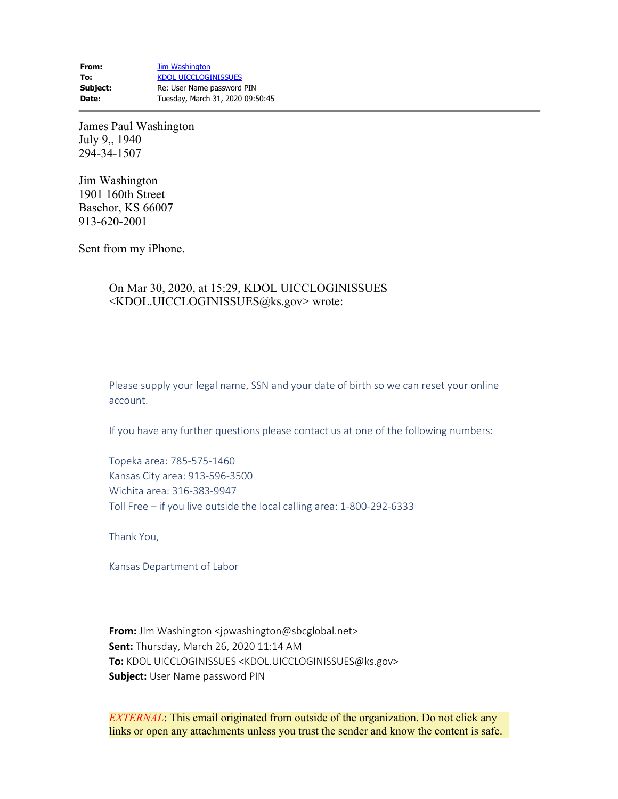**From:** [Jim Washington](mailto:jpwashington@sbcglobal.net) To: [KDOL UICCLOGINISSUES](mailto:KDOL.UICCLOGINISSUES@ks.gov) **Subject:** Re: User Name password PIN **Date:** Tuesday, March 31, 2020 09:50:45

James Paul Washington July 9,, 1940 294-34-1507

Jim Washington 1901 160th Street Basehor, KS 66007 913-620-2001

Sent from my iPhone.

## On Mar 30, 2020, at 15:29, KDOL UICCLOGINISSUES <KDOL.UICCLOGINISSUES@ks.gov> wrote:

Please supply your legal name, SSN and your date of birth so we can reset your online account.

If you have any further questions please contact us at one of the following numbers:

Topeka area: 785-575-1460 Kansas City area: 913-596-3500 Wichita area: 316-383-9947 Toll Free – if you live outside the local calling area: 1-800-292-6333

Thank You,

Kansas Department of Labor

**From:** JIm Washington <jpwashington@sbcglobal.net> **Sent:** Thursday, March 26, 2020 11:14 AM **To:** KDOL UICCLOGINISSUES <KDOL.UICCLOGINISSUES@ks.gov> **Subject:** User Name password PIN

*EXTERNAL*: This email originated from outside of the organization. Do not click any links or open any attachments unless you trust the sender and know the content is safe.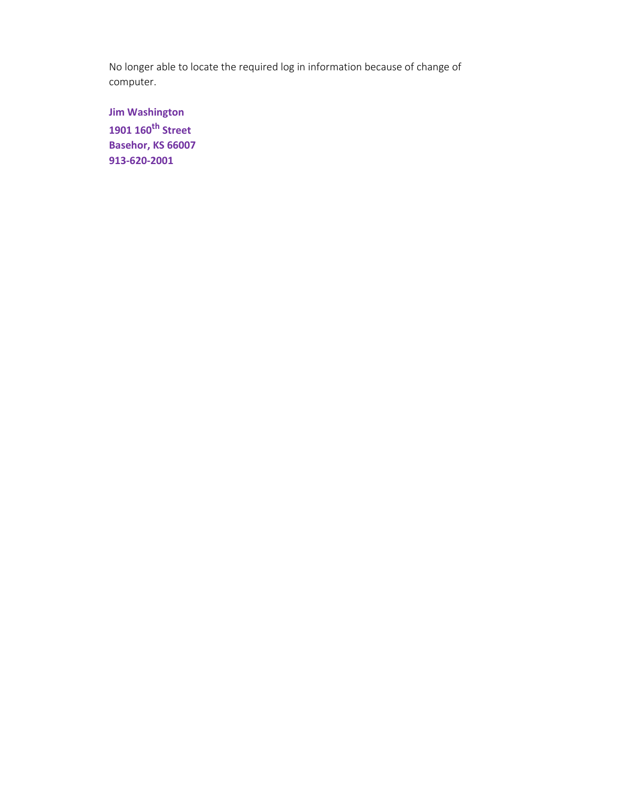No longer able to locate the required log in information because of change of computer.

**Jim Washington 1901 160th Street Basehor, KS 66007 913-620-2001**